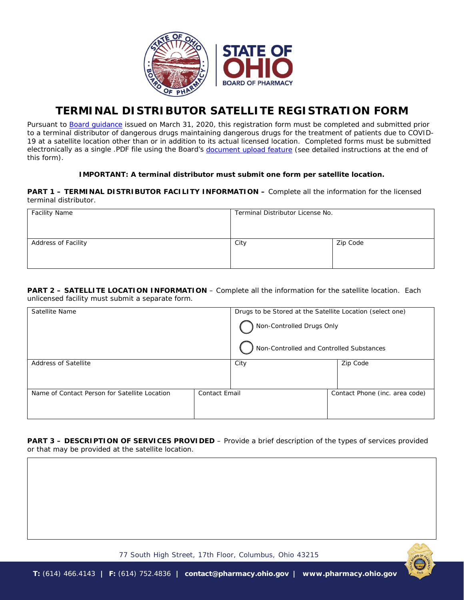

## **TERMINAL DISTRIBUTOR SATELLITE REGISTRATION FORM**

*Pursuant to [Board guidance](http://www.pharmacy.ohio.gov/TempSat) issued on March 31, 2020, this registration form must be completed and submitted prior to a terminal distributor of dangerous drugs maintaining dangerous drugs for the treatment of patients due to COVID-*19 at a satellite location other than or in addition to its actual licensed location. Completed forms must be submitted *electronically as a single .PDF file using the Board's [document upload feature](https://www.pharmacy.ohio.gov/Licensing/DocumentUpload.aspx) (see detailed instructions at the end of this form).*

## **IMPORTANT: A terminal distributor must submit one form per satellite location.**

**PART 1 – TERMINAL DISTRIBUTOR FACILITY INFORMATION –** *Complete all the information for the licensed terminal distributor.*

| <b>Facility Name</b> | Terminal Distributor License No. |          |  |
|----------------------|----------------------------------|----------|--|
| Address of Facility  | City                             | Zip Code |  |

**PART 2 – SATELLITE LOCATION INFORMATION** – *Complete all the information for the satellite location. Each unlicensed facility must submit a separate form.* 

| Satellite Name                                |                      | Drugs to be Stored at the Satellite Location (select one) |                                |  |
|-----------------------------------------------|----------------------|-----------------------------------------------------------|--------------------------------|--|
|                                               |                      | Non-Controlled Drugs Only                                 |                                |  |
|                                               |                      | Non-Controlled and Controlled Substances                  |                                |  |
| <b>Address of Satellite</b>                   |                      | City                                                      | Zip Code                       |  |
|                                               |                      |                                                           |                                |  |
| Name of Contact Person for Satellite Location | <b>Contact Email</b> |                                                           | Contact Phone (inc. area code) |  |
|                                               |                      |                                                           |                                |  |

**PART 3 – DESCRIPTION OF SERVICES PROVIDED** – *Provide a brief description of the types of services provided or that may be provided at the satellite location.*



77 South High Street, 17th Floor, Columbus, Ohio 43215